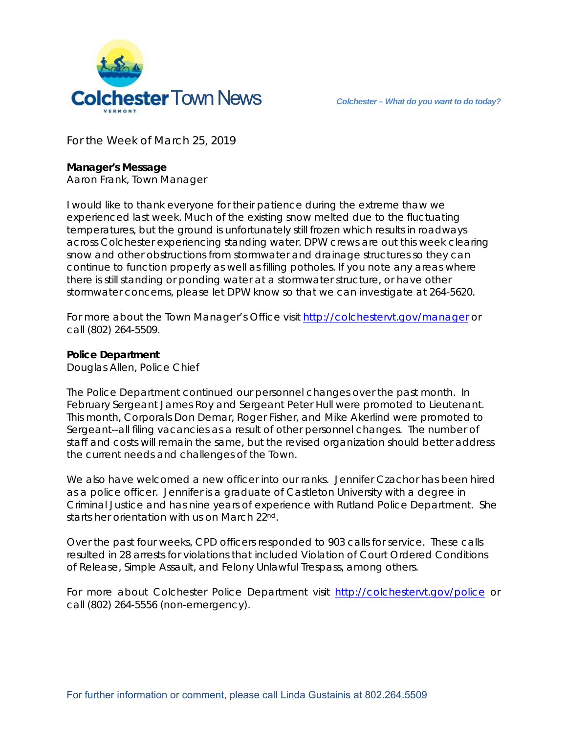

For the Week of March 25, 2019

## **Manager's Message**

Aaron Frank, Town Manager

I would like to thank everyone for their patience during the extreme thaw we experienced last week. Much of the existing snow melted due to the fluctuating temperatures, but the ground is unfortunately still frozen which results in roadways across Colchester experiencing standing water. DPW crews are out this week clearing snow and other obstructions from stormwater and drainage structures so they can continue to function properly as well as filling potholes. If you note any areas where there is still standing or ponding water at a stormwater structure, or have other stormwater concerns, please let DPW know so that we can investigate at 264-5620.

For more about the Town Manager's Office visit http://colchestervt.gov/manager or call (802) 264-5509.

## **Police Department**

Douglas Allen, Police Chief

The Police Department continued our personnel changes over the past month. In February Sergeant James Roy and Sergeant Peter Hull were promoted to Lieutenant. This month, Corporals Don Demar, Roger Fisher, and Mike Akerlind were promoted to Sergeant--all filing vacancies as a result of other personnel changes. The number of staff and costs will remain the same, but the revised organization should better address the current needs and challenges of the Town.

We also have welcomed a new officer into our ranks. Jennifer Czachor has been hired as a police officer. Jennifer is a graduate of Castleton University with a degree in Criminal Justice and has nine years of experience with Rutland Police Department. She starts her orientation with us on March 22<sup>nd</sup>.

Over the past four weeks, CPD officers responded to 903 calls for service. These calls resulted in 28 arrests for violations that included Violation of Court Ordered Conditions of Release, Simple Assault, and Felony Unlawful Trespass, among others.

For more about Colchester Police Department visit http://colchestervt.gov/police or call (802) 264-5556 (non-emergency).